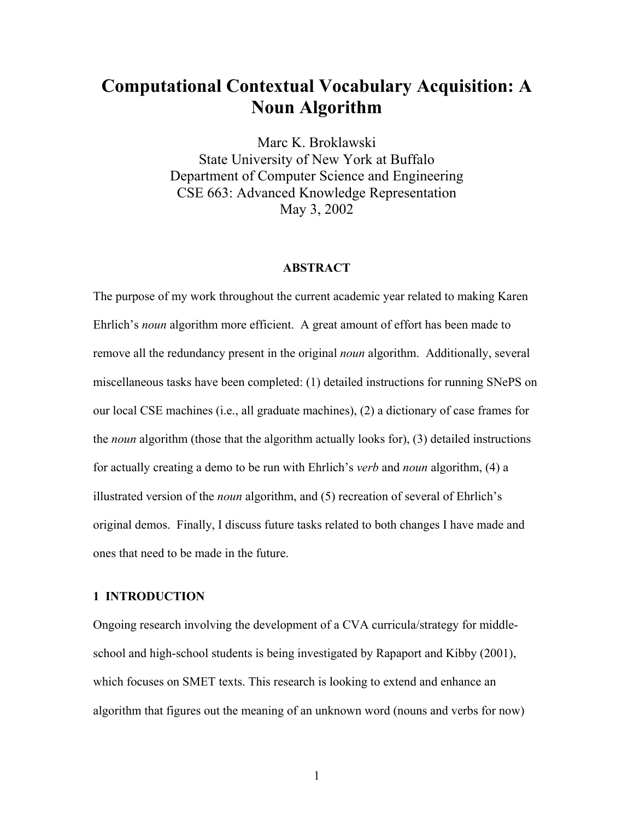# **Computational Contextual Vocabulary Acquisition: A Noun Algorithm**

Marc K. Broklawski State University of New York at Buffalo Department of Computer Science and Engineering CSE 663: Advanced Knowledge Representation May 3, 2002

#### **ABSTRACT**

The purpose of my work throughout the current academic year related to making Karen Ehrlich's *noun* algorithm more efficient. A great amount of effort has been made to remove all the redundancy present in the original *noun* algorithm. Additionally, several miscellaneous tasks have been completed: (1) detailed instructions for running SNePS on our local CSE machines (i.e., all graduate machines), (2) a dictionary of case frames for the *noun* algorithm (those that the algorithm actually looks for), (3) detailed instructions for actually creating a demo to be run with Ehrlich's *verb* and *noun* algorithm, (4) a illustrated version of the *noun* algorithm, and (5) recreation of several of Ehrlich's original demos. Finally, I discuss future tasks related to both changes I have made and ones that need to be made in the future.

#### **1 INTRODUCTION**

Ongoing research involving the development of a CVA curricula/strategy for middleschool and high-school students is being investigated by Rapaport and Kibby (2001), which focuses on SMET texts. This research is looking to extend and enhance an algorithm that figures out the meaning of an unknown word (nouns and verbs for now)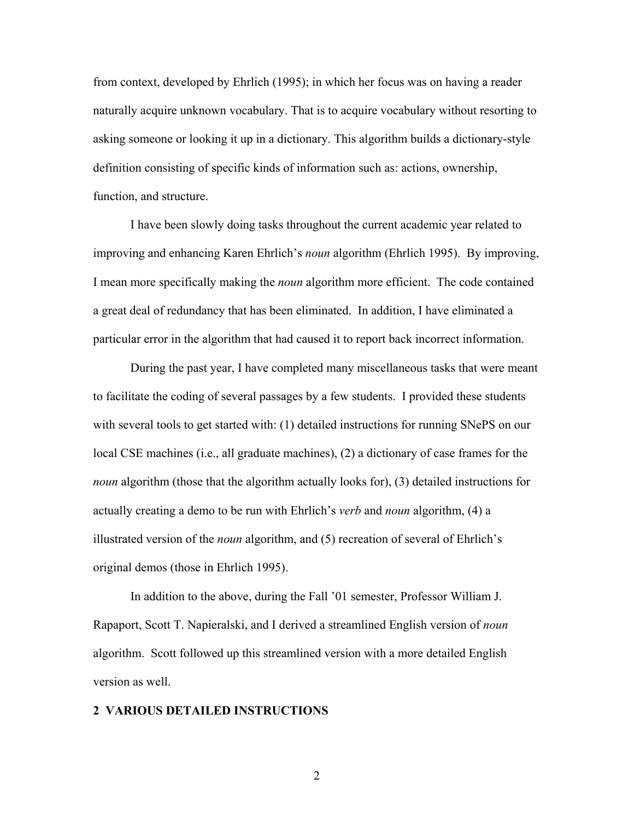from context, developed by Ehrlich (1995); in which her focus was on having a reader naturally acquire unknown vocabulary. That is to acquire vocabulary without resorting to asking someone or looking it up in a dictionary. This algorithm builds a dictionary-style definition consisting of specific kinds of information such as: actions, ownership, function, and structure.

I have been slowly doing tasks throughout the current academic year related to improving and enhancing Karen Ehrlich's *noun* algorithm (Ehrlich 1995). By improving, I mean more specifically making the *noun* algorithm more efficient. The code contained a great deal of redundancy that has been eliminated. In addition, I have eliminated a particular error in the algorithm that had caused it to report back incorrect information.

During the past year, I have completed many miscellaneous tasks that were meant to facilitate the coding of several passages by a few students. I provided these students with several tools to get started with: (1) detailed instructions for running SNePS on our local CSE machines (i.e., all graduate machines), (2) a dictionary of case frames for the *noun* algorithm (those that the algorithm actually looks for), (3) detailed instructions for actually creating a demo to be run with Ehrlich's *verb* and *noun* algorithm, (4) a illustrated version of the *noun* algorithm, and (5) recreation of several of Ehrlich's original demos (those in Ehrlich 1995).

In addition to the above, during the Fall '01 semester, Professor William J. Rapaport, Scott T. Napieralski, and I derived a streamlined English version of *noun* algorithm. Scott followed up this streamlined version with a more detailed English version as well.

#### **2 VARIOUS DETAILED INSTRUCTIONS**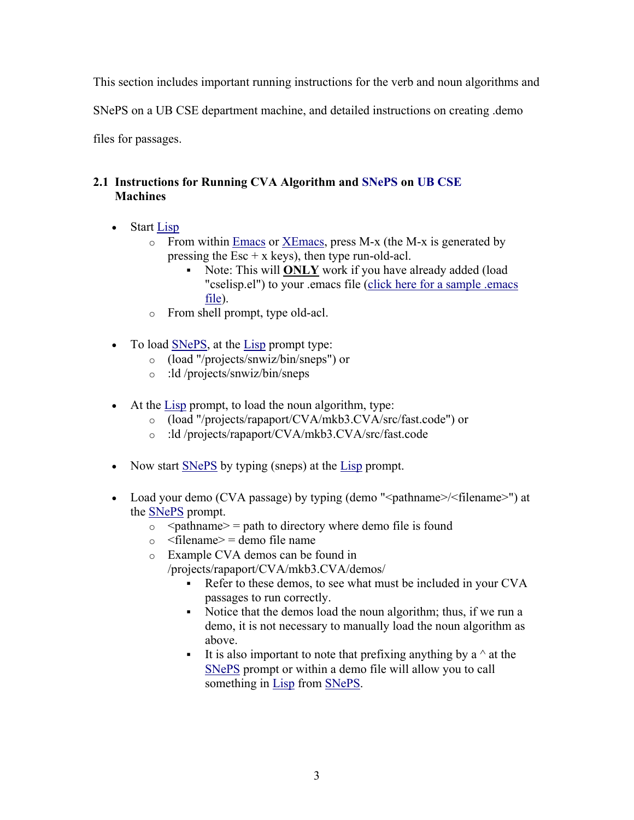This section includes important running instructions for the verb and noun algorithms and

SNePS on a UB CSE department machine, and detailed instructions on creating .demo

files for passages.

### **2.1 Instructions for Running CVA Algorithm and [SNePS](http://www.cse.buffalo.edu/sneps) on [UB](http://www.buffalo.edu/) [CSE](http://www.cse.buffalo.edu/) Machines**

- Start  $Lisp$ 
	- o From within [Emacs](http://www.emacs.org/) or [XEmacs](http://www.xemacs.org/), press M-x (the M-x is generated by pressing the Esc  $+ x$  keys), then type run-old-acl.
		- Note: This will **ONLY** work if you have already added (load "cselisp.el") to your .emacs file [\(click here for a sample .emacs](http://www.cse.buffalo.edu/%7Emkb3/sample.emacs.html) [file](http://www.cse.buffalo.edu/%7Emkb3/sample.emacs.html)).
	- o From shell prompt, type old-acl.
- To load [SNePS,](http://www.cse.buffalo.edu/sneps) at the [Lisp](http://www.franz.com/) prompt type:
	- o (load "/projects/snwiz/bin/sneps") or
	- o :ld /projects/snwiz/bin/sneps
- At the [Lisp](http://www.franz.com/) prompt, to load the noun algorithm, type:
	- o (load "/projects/rapaport/CVA/mkb3.CVA/src/fast.code") or
	- o :ld /projects/rapaport/CVA/mkb3.CVA/src/fast.code
- Now start **SNePS** by typing (sneps) at the [Lisp](http://www.franz.com/) prompt.
- Load your demo (CVA passage) by typing (demo " $\leq$ pathname $\geq$  / $\leq$ filename $\geq$ ") at the [SNePS](http://www.cse.buffalo.edu/sneps) prompt.
	- $\circ$  <pathname> = path to directory where demo file is found
	- $\circ$  <filename> = demo file name
	- o Example CVA demos can be found in /projects/rapaport/CVA/mkb3.CVA/demos/
		- Refer to these demos, to see what must be included in your CVA passages to run correctly.
		- Notice that the demos load the noun algorithm; thus, if we run a demo, it is not necessary to manually load the noun algorithm as above.
		- It is also important to note that prefixing anything by a  $\land$  at the [SNePS](http://www.cse.buffalo.edu/sneps) prompt or within a demo file will allow you to call something in [Lisp](http://www.franz.com/) from [SNePS.](http://www.cse.buffalo.edu/sneps)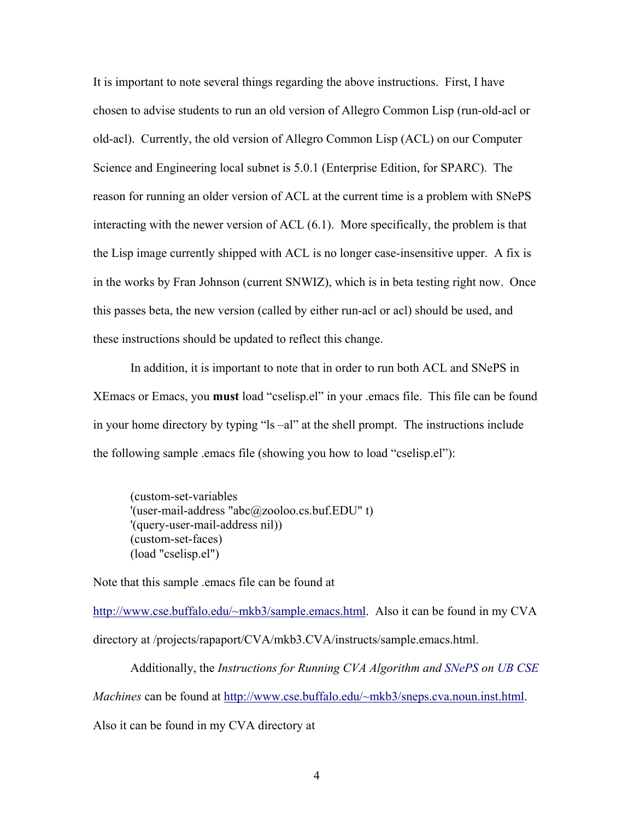It is important to note several things regarding the above instructions. First, I have chosen to advise students to run an old version of Allegro Common Lisp (run-old-acl or old-acl). Currently, the old version of Allegro Common Lisp (ACL) on our Computer Science and Engineering local subnet is 5.0.1 (Enterprise Edition, for SPARC). The reason for running an older version of ACL at the current time is a problem with SNePS interacting with the newer version of ACL (6.1). More specifically, the problem is that the Lisp image currently shipped with ACL is no longer case-insensitive upper. A fix is in the works by Fran Johnson (current SNWIZ), which is in beta testing right now. Once this passes beta, the new version (called by either run-acl or acl) should be used, and these instructions should be updated to reflect this change.

In addition, it is important to note that in order to run both ACL and SNePS in XEmacs or Emacs, you **must** load "cselisp.el" in your .emacs file. This file can be found in your home directory by typing "ls –al" at the shell prompt. The instructions include the following sample .emacs file (showing you how to load "cselisp.el"):

(custom-set-variables '(user-mail-address "abc@zooloo.cs.buf.EDU" t) '(query-user-mail-address nil)) (custom-set-faces) (load "cselisp.el")

Note that this sample .emacs file can be found at

<http://www.cse.buffalo.edu/~mkb3/sample.emacs.html>. Also it can be found in my CVA directory at /projects/rapaport/CVA/mkb3.CVA/instructs/sample.emacs.html.

 Additionally, the *Instructions for Running CVA Algorithm and [SNePS](http://www.cse.buffalo.edu/sneps) on [UB](http://www.buffalo.edu/) [CSE](http://www.cse.buffalo.edu/) Machines* can be found at<http://www.cse.buffalo.edu/~mkb3/sneps.cva.noun.inst.html>.

Also it can be found in my CVA directory at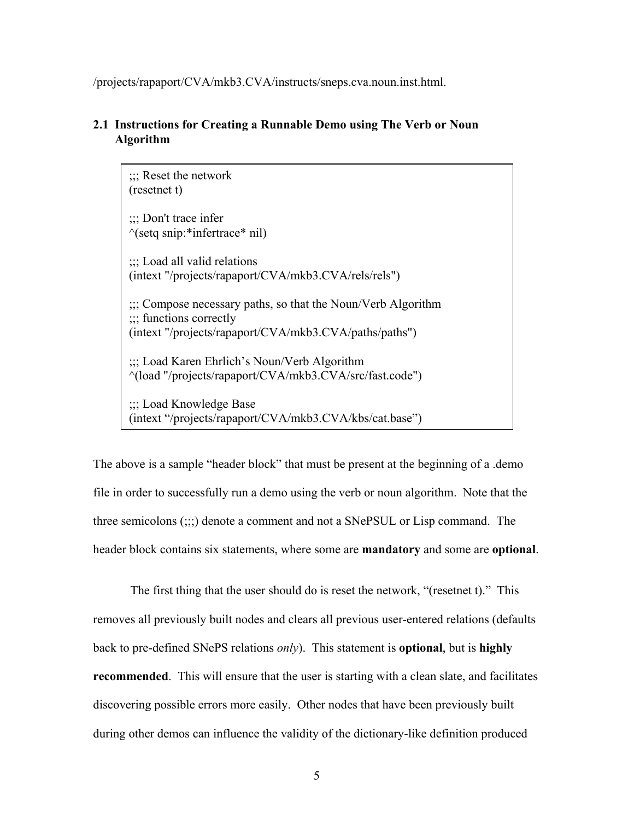/projects/rapaport/CVA/mkb3.CVA/instructs/sneps.cva.noun.inst.html.

#### **2.1 Instructions for Creating a Runnable Demo using The Verb or Noun Algorithm**

;;; Reset the network (resetnet t) ;;; Don't trace infer  $\gamma$ (setq snip:\*infertrace\* nil) ;;; Load all valid relations (intext "/projects/rapaport/CVA/mkb3.CVA/rels/rels") ;;; Compose necessary paths, so that the Noun/Verb Algorithm ;;; functions correctly (intext "/projects/rapaport/CVA/mkb3.CVA/paths/paths") ;;; Load Karen Ehrlich's Noun/Verb Algorithm ^(load "/projects/rapaport/CVA/mkb3.CVA/src/fast.code") ;;; Load Knowledge Base (intext "/projects/rapaport/CVA/mkb3.CVA/kbs/cat.base")

The above is a sample "header block" that must be present at the beginning of a .demo file in order to successfully run a demo using the verb or noun algorithm. Note that the three semicolons (;;;) denote a comment and not a SNePSUL or Lisp command. The header block contains six statements, where some are **mandatory** and some are **optional**.

The first thing that the user should do is reset the network, "(resetnet t)." This removes all previously built nodes and clears all previous user-entered relations (defaults back to pre-defined SNePS relations *only*). This statement is **optional**, but is **highly recommended**. This will ensure that the user is starting with a clean slate, and facilitates discovering possible errors more easily. Other nodes that have been previously built during other demos can influence the validity of the dictionary-like definition produced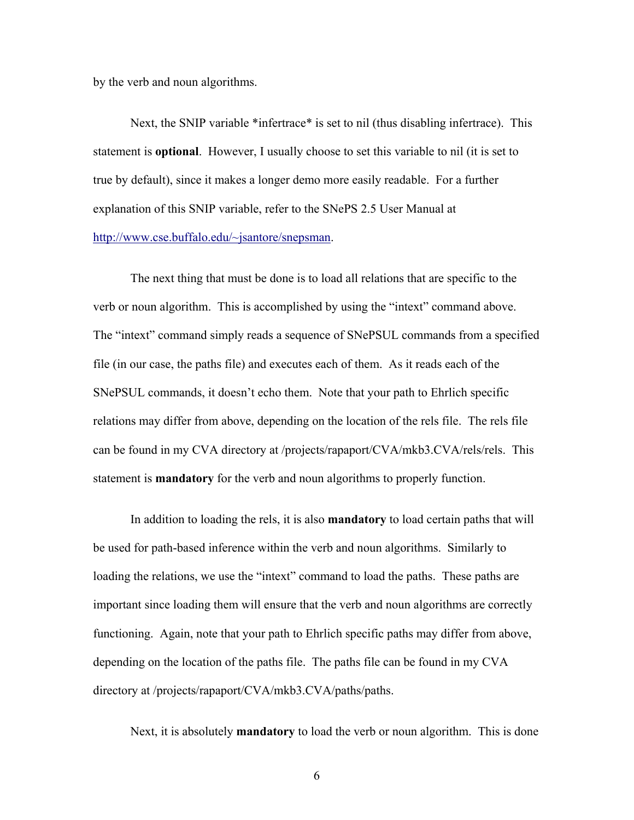by the verb and noun algorithms.

Next, the SNIP variable \*infertrace\* is set to nil (thus disabling infertrace). This statement is **optional**. However, I usually choose to set this variable to nil (it is set to true by default), since it makes a longer demo more easily readable. For a further explanation of this SNIP variable, refer to the SNePS 2.5 User Manual at <http://www.cse.buffalo.edu/~jsantore/snepsman>.

The next thing that must be done is to load all relations that are specific to the verb or noun algorithm. This is accomplished by using the "intext" command above. The "intext" command simply reads a sequence of SNePSUL commands from a specified file (in our case, the paths file) and executes each of them. As it reads each of the SNePSUL commands, it doesn't echo them. Note that your path to Ehrlich specific relations may differ from above, depending on the location of the rels file. The rels file can be found in my CVA directory at /projects/rapaport/CVA/mkb3.CVA/rels/rels. This statement is **mandatory** for the verb and noun algorithms to properly function.

In addition to loading the rels, it is also **mandatory** to load certain paths that will be used for path-based inference within the verb and noun algorithms. Similarly to loading the relations, we use the "intext" command to load the paths. These paths are important since loading them will ensure that the verb and noun algorithms are correctly functioning. Again, note that your path to Ehrlich specific paths may differ from above, depending on the location of the paths file. The paths file can be found in my CVA directory at /projects/rapaport/CVA/mkb3.CVA/paths/paths.

Next, it is absolutely **mandatory** to load the verb or noun algorithm. This is done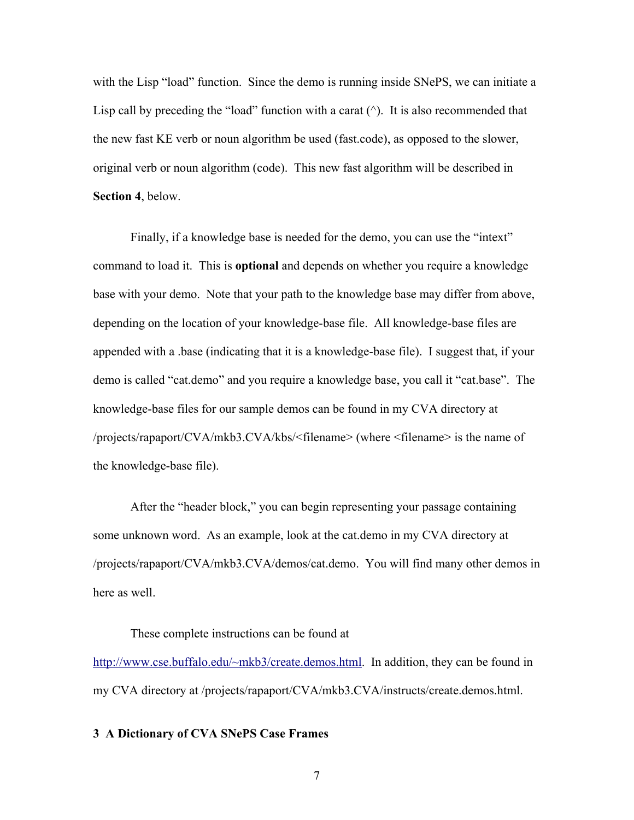with the Lisp "load" function. Since the demo is running inside SNePS, we can initiate a Lisp call by preceding the "load" function with a carat  $(\wedge)$ . It is also recommended that the new fast KE verb or noun algorithm be used (fast.code), as opposed to the slower, original verb or noun algorithm (code). This new fast algorithm will be described in **Section 4**, below.

Finally, if a knowledge base is needed for the demo, you can use the "intext" command to load it. This is **optional** and depends on whether you require a knowledge base with your demo. Note that your path to the knowledge base may differ from above, depending on the location of your knowledge-base file. All knowledge-base files are appended with a .base (indicating that it is a knowledge-base file). I suggest that, if your demo is called "cat.demo" and you require a knowledge base, you call it "cat.base". The knowledge-base files for our sample demos can be found in my CVA directory at /projects/rapaport/CVA/mkb3.CVA/kbs/<filename> (where <filename> is the name of the knowledge-base file).

After the "header block," you can begin representing your passage containing some unknown word. As an example, look at the cat.demo in my CVA directory at /projects/rapaport/CVA/mkb3.CVA/demos/cat.demo. You will find many other demos in here as well.

# These complete instructions can be found at

<http://www.cse.buffalo.edu/~mkb3/create.demos.html>. In addition, they can be found in my CVA directory at /projects/rapaport/CVA/mkb3.CVA/instructs/create.demos.html.

#### **3 A Dictionary of CVA SNePS Case Frames**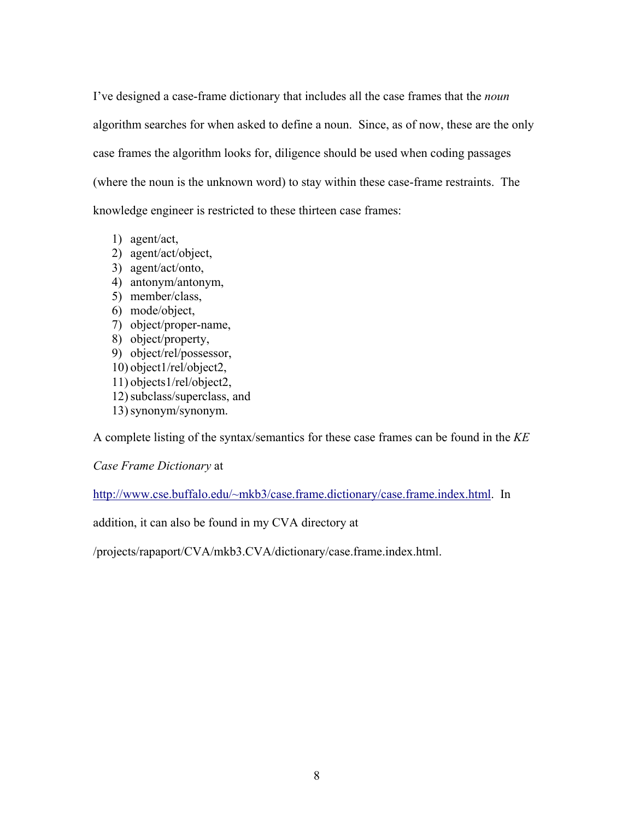I've designed a case-frame dictionary that includes all the case frames that the *noun* algorithm searches for when asked to define a noun. Since, as of now, these are the only case frames the algorithm looks for, diligence should be used when coding passages (where the noun is the unknown word) to stay within these case-frame restraints. The knowledge engineer is restricted to these thirteen case frames:

- 1) agent/act,
- 2) agent/act/object,
- 3) agent/act/onto,
- 4) antonym/antonym,
- 5) member/class,
- 6) mode/object,
- 7) object/proper-name,
- 8) object/property,
- 9) object/rel/possessor,
- 10) object1/rel/object2,
- 11) objects1/rel/object2,
- 12) subclass/superclass, and
- 13)synonym/synonym.

A complete listing of the syntax/semantics for these case frames can be found in the *KE* 

*Case Frame Dictionary* at

<http://www.cse.buffalo.edu/~mkb3/case.frame.dictionary/case.frame.index.html>. In

addition, it can also be found in my CVA directory at

/projects/rapaport/CVA/mkb3.CVA/dictionary/case.frame.index.html.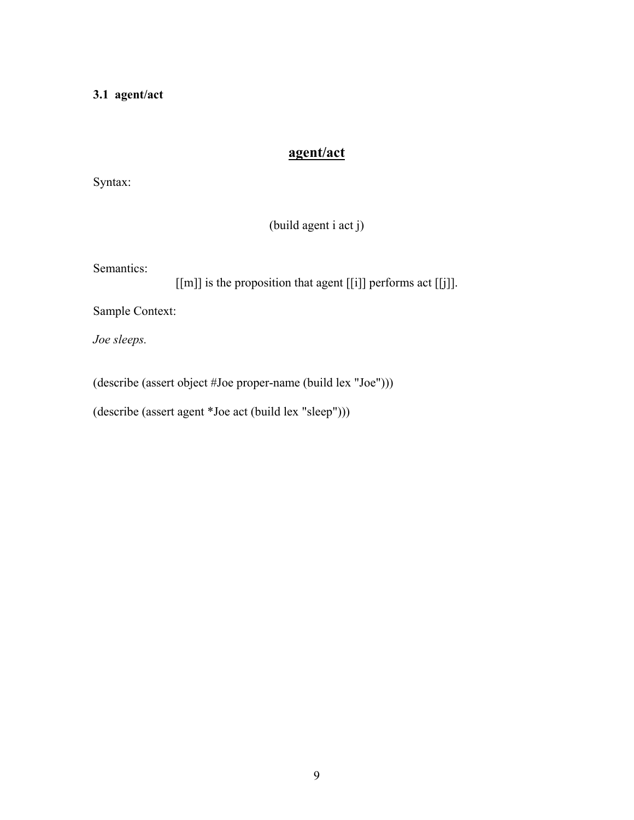## **3.1 agent/act**

# **agent/act**

Syntax:

(build agent i act j)

Semantics:

[[m]] is the proposition that agent [[i]] performs act [[j]].

Sample Context:

*Joe sleeps.*

(describe (assert object #Joe proper-name (build lex "Joe")))

(describe (assert agent \*Joe act (build lex "sleep")))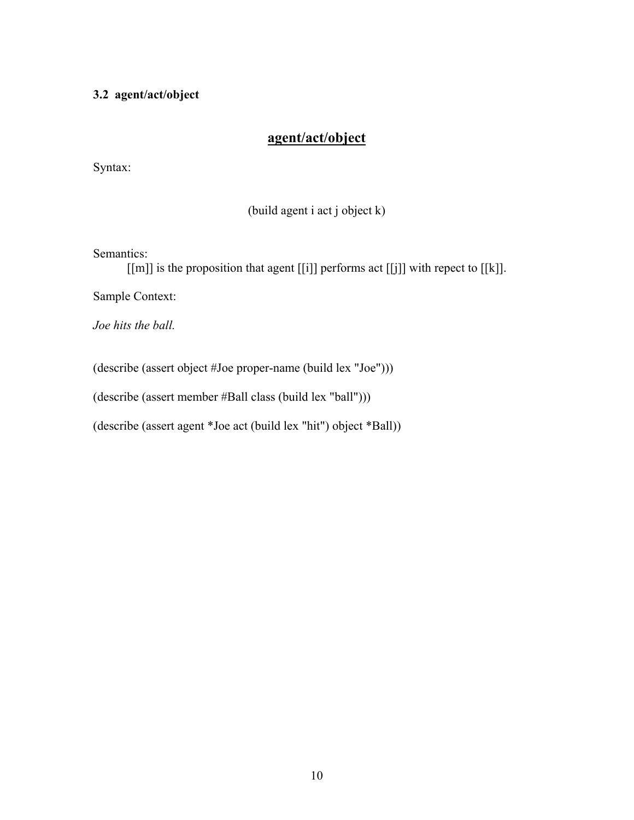## **3.2 agent/act/object**

# **agent/act/object**

Syntax:

(build agent i act j object k)

Semantics:

[[m]] is the proposition that agent [[i]] performs act [[j]] with repect to [[k]].

Sample Context:

*Joe hits the ball.*

(describe (assert object #Joe proper-name (build lex "Joe")))

(describe (assert member #Ball class (build lex "ball")))

(describe (assert agent \*Joe act (build lex "hit") object \*Ball))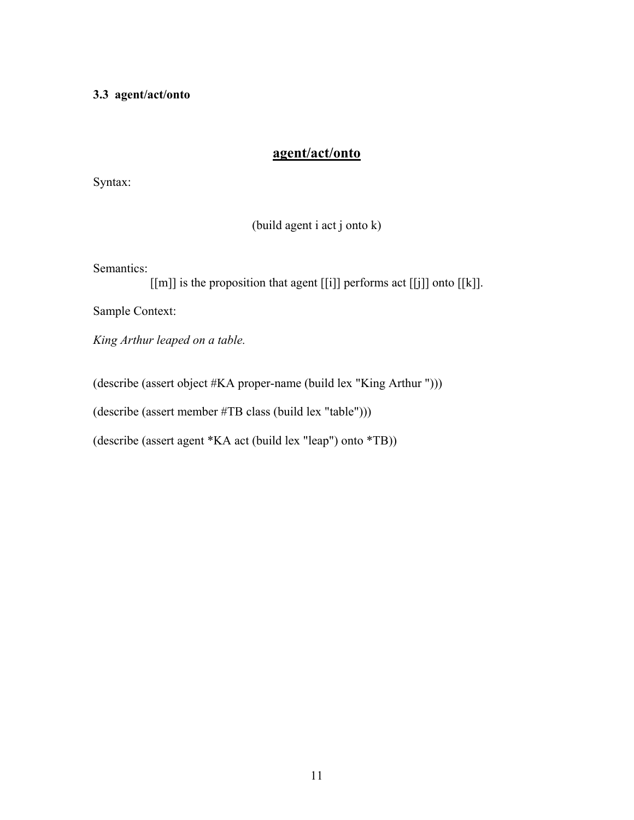#### **3.3 agent/act/onto**

### **agent/act/onto**

Syntax:

(build agent i act j onto k)

Semantics:

 $[[m]]$  is the proposition that agent  $[[i]]$  performs act  $[[j]]$  onto  $[[k]]$ .

Sample Context:

*King Arthur leaped on a table.*

(describe (assert object #KA proper-name (build lex "King Arthur ")))

(describe (assert member #TB class (build lex "table")))

(describe (assert agent \*KA act (build lex "leap") onto \*TB))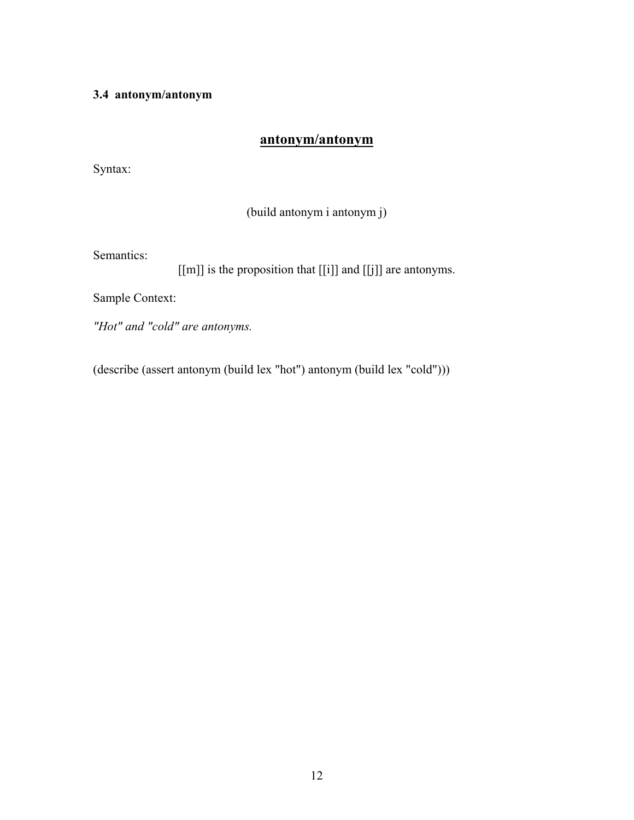## **3.4 antonym/antonym**

# **antonym/antonym**

Syntax:

(build antonym i antonym j)

Semantics:

[[m]] is the proposition that [[i]] and [[j]] are antonyms.

Sample Context:

*"Hot" and "cold" are antonyms.*

(describe (assert antonym (build lex "hot") antonym (build lex "cold")))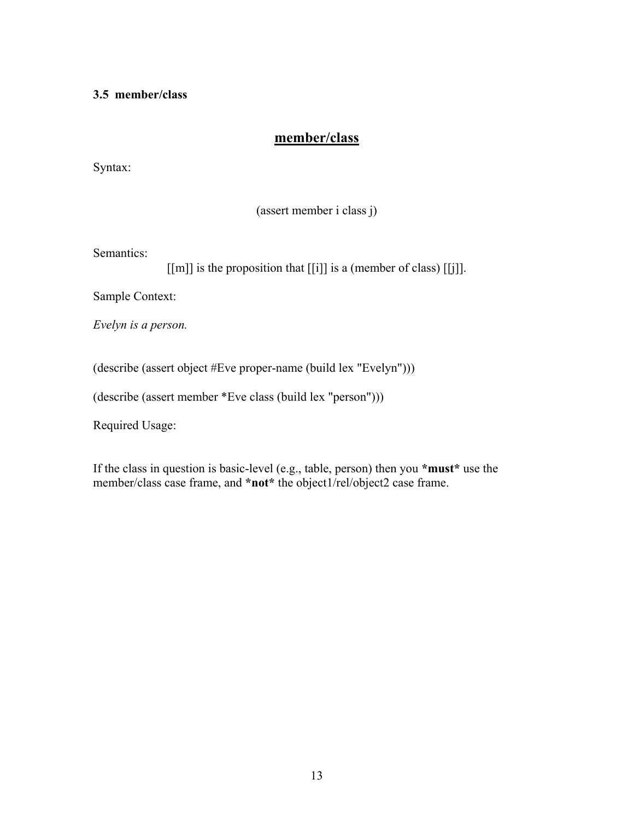#### **3.5 member/class**

## **member/class**

Syntax:

(assert member i class j)

Semantics:

 $[[m]]$  is the proposition that  $[[i]]$  is a (member of class)  $[[i]]$ .

Sample Context:

*Evelyn is a person.*

(describe (assert object #Eve proper-name (build lex "Evelyn")))

(describe (assert member \*Eve class (build lex "person")))

Required Usage:

If the class in question is basic-level (e.g., table, person) then you **\*must\*** use the member/class case frame, and **\*not\*** the object1/rel/object2 case frame.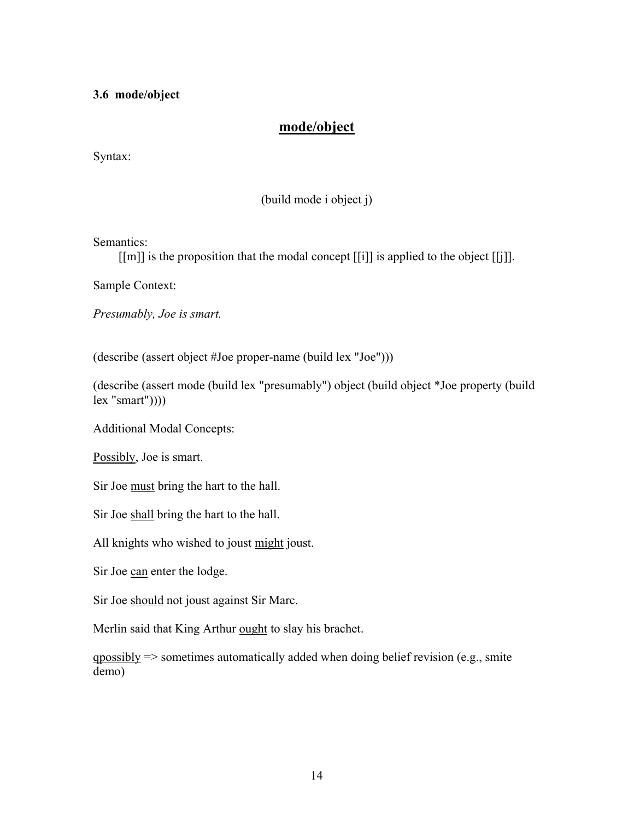### **3.6 mode/object**

## **mode/object**

Syntax:

(build mode i object j)

Semantics:

 $[[m]]$  is the proposition that the modal concept  $[[i]]$  is applied to the object  $[[i]]$ .

Sample Context:

*Presumably, Joe is smart.*

(describe (assert object #Joe proper-name (build lex "Joe")))

(describe (assert mode (build lex "presumably") object (build object \*Joe property (build lex "smart"))))

Additional Modal Concepts:

Possibly, Joe is smart.

Sir Joe must bring the hart to the hall.

Sir Joe shall bring the hart to the hall.

All knights who wished to joust might joust.

Sir Joe can enter the lodge.

Sir Joe should not joust against Sir Marc.

Merlin said that King Arthur ought to slay his brachet.

 $q$ possibly  $\Rightarrow$  sometimes automatically added when doing belief revision (e.g., smite demo)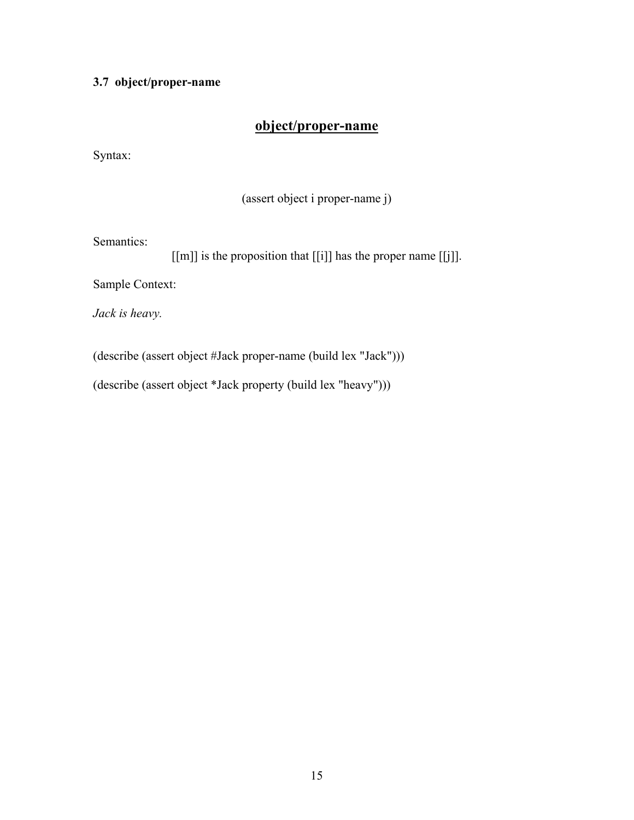### **3.7 object/proper-name**

## **object/proper-name**

Syntax:

(assert object i proper-name j)

Semantics:

[[m]] is the proposition that [[i]] has the proper name [[j]].

Sample Context:

*Jack is heavy.*

(describe (assert object #Jack proper-name (build lex "Jack")))

(describe (assert object \*Jack property (build lex "heavy")))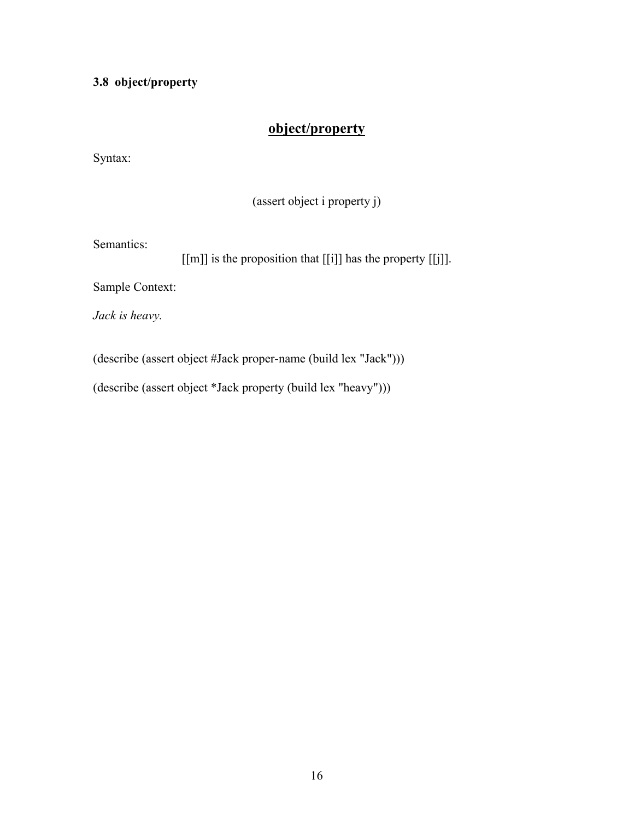## **3.8 object/property**

# **object/property**

Syntax:

(assert object i property j)

Semantics:

[[m]] is the proposition that [[i]] has the property [[j]].

Sample Context:

*Jack is heavy.*

(describe (assert object #Jack proper-name (build lex "Jack")))

(describe (assert object \*Jack property (build lex "heavy")))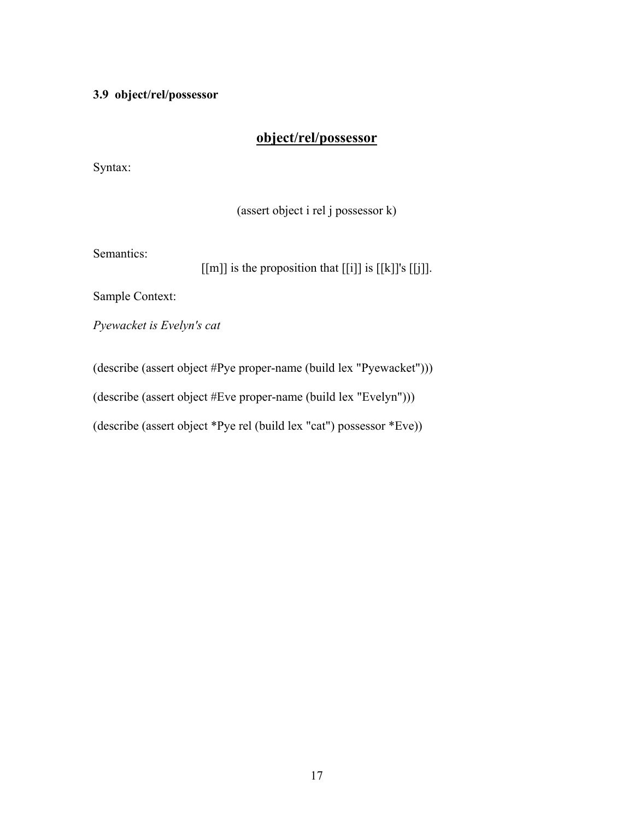#### **3.9 object/rel/possessor**

# **object/rel/possessor**

Syntax:

(assert object i rel j possessor k)

Semantics:

 $[[m]]$  is the proposition that  $[[i]]$  is  $[[k]]$ 's  $[[j]]$ .

Sample Context:

*Pyewacket is Evelyn's cat*

(describe (assert object #Pye proper-name (build lex "Pyewacket")))

(describe (assert object #Eve proper-name (build lex "Evelyn")))

(describe (assert object \*Pye rel (build lex "cat") possessor \*Eve))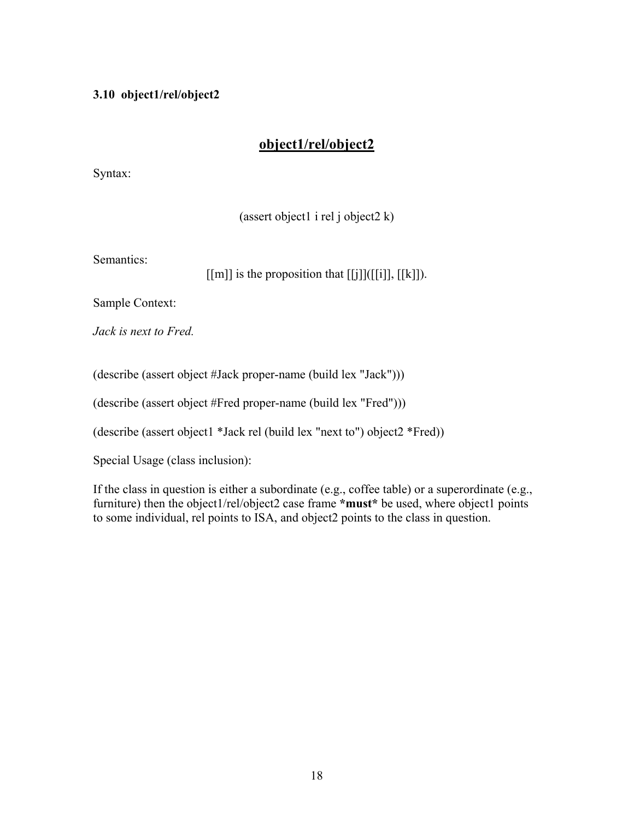### **3.10 object1/rel/object2**

## **object1/rel/object2**

Syntax:

(assert object1 i rel j object2 k)

Semantics:

 $[[m]]$  is the proposition that  $[[j]]([[i]], [[k]]).$ 

Sample Context:

*Jack is next to Fred.*

(describe (assert object #Jack proper-name (build lex "Jack")))

(describe (assert object #Fred proper-name (build lex "Fred")))

(describe (assert object1 \*Jack rel (build lex "next to") object2 \*Fred))

Special Usage (class inclusion):

If the class in question is either a subordinate (e.g., coffee table) or a superordinate (e.g., furniture) then the object1/rel/object2 case frame **\*must\*** be used, where object1 points to some individual, rel points to ISA, and object2 points to the class in question.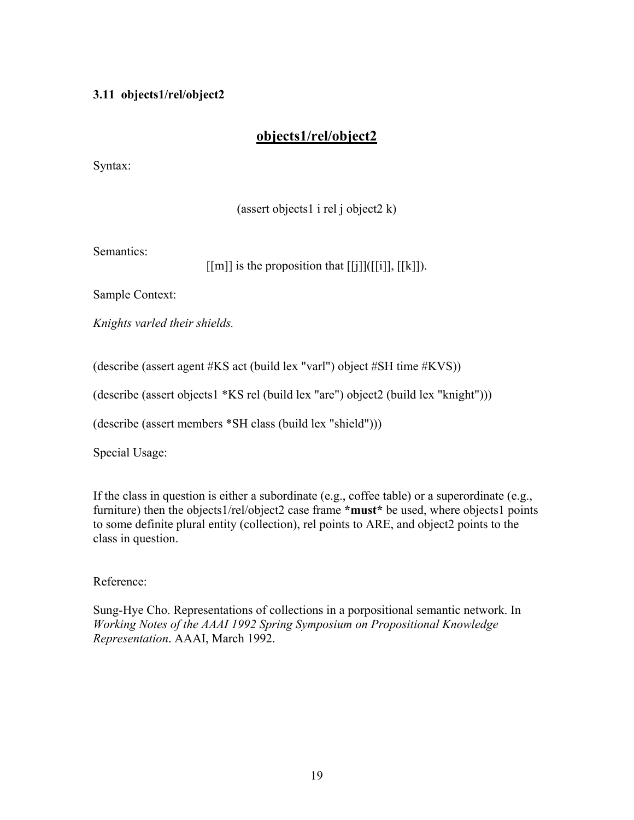### **3.11 objects1/rel/object2**

## **objects1/rel/object2**

Syntax:

(assert objects1 i rel j object2 k)

Semantics:

 $[[m]]$  is the proposition that  $[[j]]([[i]], [[k]]).$ 

Sample Context:

*Knights varled their shields.*

(describe (assert agent #KS act (build lex "varl") object #SH time #KVS))

(describe (assert objects1 \*KS rel (build lex "are") object2 (build lex "knight")))

(describe (assert members \*SH class (build lex "shield")))

Special Usage:

If the class in question is either a subordinate (e.g., coffee table) or a superordinate (e.g., furniture) then the objects1/rel/object2 case frame **\*must\*** be used, where objects1 points to some definite plural entity (collection), rel points to ARE, and object2 points to the class in question.

Reference:

Sung-Hye Cho. Representations of collections in a porpositional semantic network. In *Working Notes of the AAAI 1992 Spring Symposium on Propositional Knowledge Representation*. AAAI, March 1992.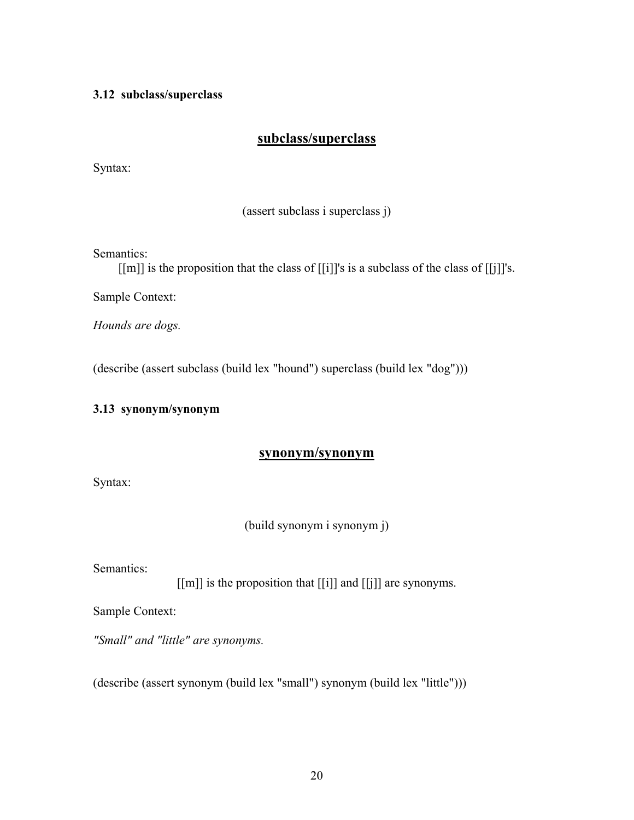#### **3.12 subclass/superclass**

## **subclass/superclass**

Syntax:

(assert subclass i superclass j)

Semantics:

 $[[m]]$  is the proposition that the class of  $[[i]]$ 's is a subclass of the class of  $[[j]]$ 's.

Sample Context:

*Hounds are dogs.*

(describe (assert subclass (build lex "hound") superclass (build lex "dog")))

### **3.13 synonym/synonym**

## **synonym/synonym**

Syntax:

(build synonym i synonym j)

Semantics:

[[m]] is the proposition that [[i]] and [[j]] are synonyms.

Sample Context:

*"Small" and "little" are synonyms.*

(describe (assert synonym (build lex "small") synonym (build lex "little")))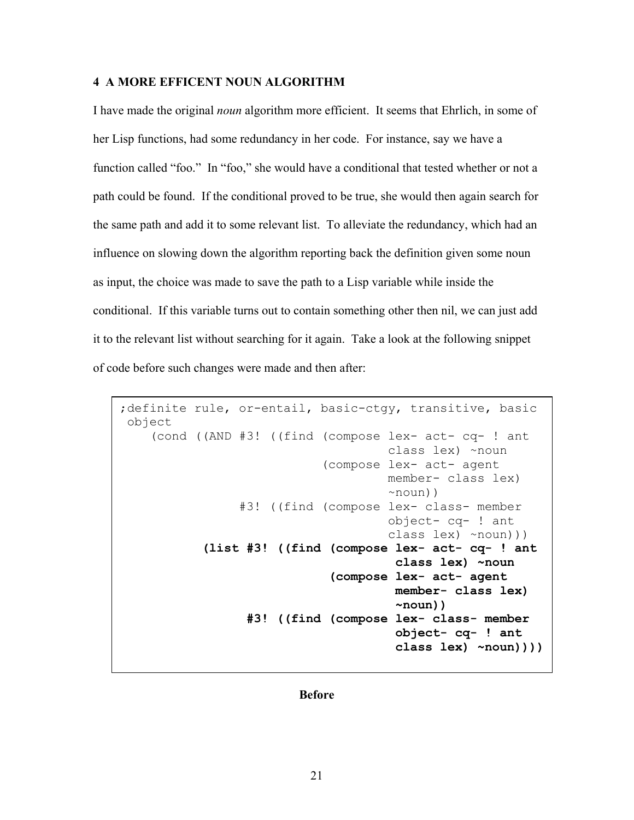#### **4 A MORE EFFICENT NOUN ALGORITHM**

I have made the original *noun* algorithm more efficient. It seems that Ehrlich, in some of her Lisp functions, had some redundancy in her code. For instance, say we have a function called "foo." In "foo," she would have a conditional that tested whether or not a path could be found. If the conditional proved to be true, she would then again search for the same path and add it to some relevant list. To alleviate the redundancy, which had an influence on slowing down the algorithm reporting back the definition given some noun as input, the choice was made to save the path to a Lisp variable while inside the conditional. If this variable turns out to contain something other then nil, we can just add it to the relevant list without searching for it again. Take a look at the following snippet of code before such changes were made and then after:

;definite rule, or-entail, basic-ctgy, transitive, basic object (cond ((AND #3! ((find (compose lex- act- cq- ! ant class lex) ~noun (compose lex- act- agent member- class lex)  $~\sim$ noun)) #3! ((find (compose lex- class- member object- cq- ! ant class lex) ~noun)))  **class lex) ~noun (list #3! ((find (compose lex- act- cq- ! ant (compose lex- act- agent member- class lex) ~noun)) #3! ((find (compose lex- class- member object- cq- ! ant class lex) ~noun))))**

**Before**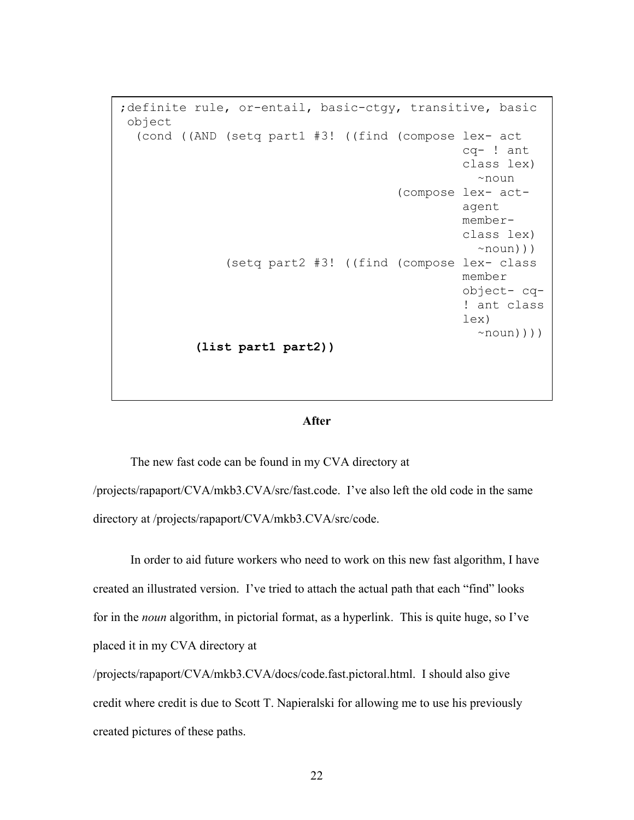```
;definite rule, or-entail, basic-ctgy, transitive, basic
  object 
   (cond ((AND (setq part1 #3! ((find (compose lex- act 
                                                           cq- ! ant 
                                                           class lex) 
\simnoun
                                                (compose lex- act- 
agent and the contract of the contract of the contract of the contract of the contract of the contract of the contract of the contract of the contract of the contract of the contract of the contract of the contract of the 
                                                           member- 
                                                           class lex) 
                                                            ~\simnoun)))
                   (setq part2 #3! ((find (compose lex- class 
                                                           member 
                                                           object- cq-
                                                           ! ant class 
 lex) 
                                                             ~\simnoun))))
             (list part1 part2))
```
#### **After**

The new fast code can be found in my CVA directory at /projects/rapaport/CVA/mkb3.CVA/src/fast.code. I've also left the old code in the same directory at /projects/rapaport/CVA/mkb3.CVA/src/code.

In order to aid future workers who need to work on this new fast algorithm, I have created an illustrated version. I've tried to attach the actual path that each "find" looks for in the *noun* algorithm, in pictorial format, as a hyperlink. This is quite huge, so I've placed it in my CVA directory at

/projects/rapaport/CVA/mkb3.CVA/docs/code.fast.pictoral.html. I should also give credit where credit is due to Scott T. Napieralski for allowing me to use his previously created pictures of these paths.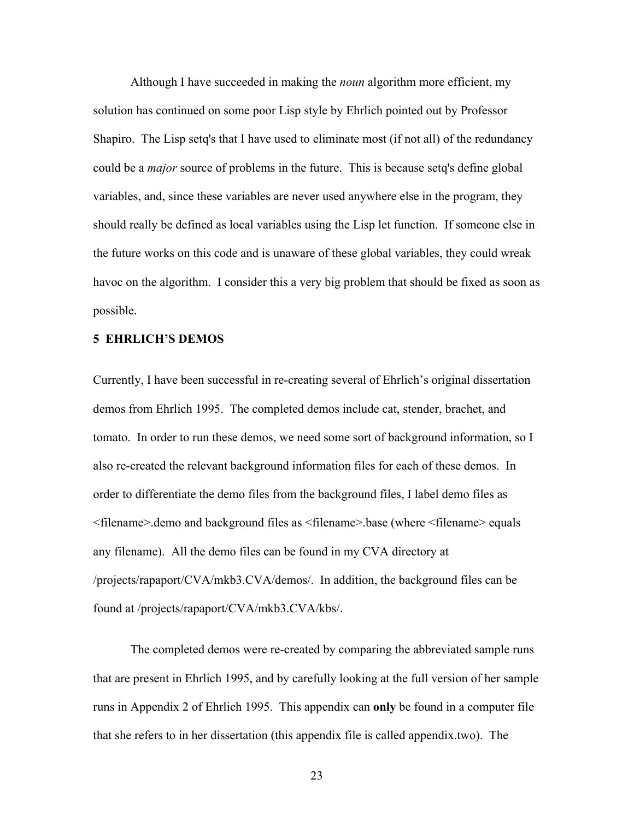Although I have succeeded in making the *noun* algorithm more efficient, my solution has continued on some poor Lisp style by Ehrlich pointed out by Professor Shapiro. The Lisp setq's that I have used to eliminate most (if not all) of the redundancy could be a *major* source of problems in the future. This is because setq's define global variables, and, since these variables are never used anywhere else in the program, they should really be defined as local variables using the Lisp let function. If someone else in the future works on this code and is unaware of these global variables, they could wreak havoc on the algorithm. I consider this a very big problem that should be fixed as soon as possible.

#### **5 EHRLICH'S DEMOS**

Currently, I have been successful in re-creating several of Ehrlich's original dissertation demos from Ehrlich 1995. The completed demos include cat, stender, brachet, and tomato. In order to run these demos, we need some sort of background information, so I also re-created the relevant background information files for each of these demos. In order to differentiate the demo files from the background files, I label demo files as <filename>.demo and background files as <filename>.base (where <filename> equals any filename). All the demo files can be found in my CVA directory at /projects/rapaport/CVA/mkb3.CVA/demos/. In addition, the background files can be found at /projects/rapaport/CVA/mkb3.CVA/kbs/.

The completed demos were re-created by comparing the abbreviated sample runs that are present in Ehrlich 1995, and by carefully looking at the full version of her sample runs in Appendix 2 of Ehrlich 1995. This appendix can **only** be found in a computer file that she refers to in her dissertation (this appendix file is called appendix.two). The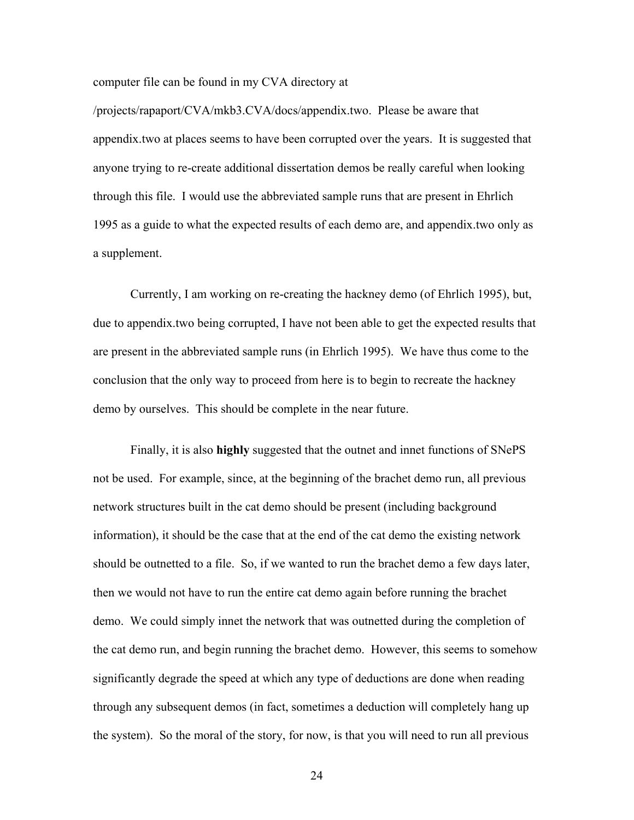computer file can be found in my CVA directory at

/projects/rapaport/CVA/mkb3.CVA/docs/appendix.two. Please be aware that appendix.two at places seems to have been corrupted over the years. It is suggested that anyone trying to re-create additional dissertation demos be really careful when looking through this file. I would use the abbreviated sample runs that are present in Ehrlich 1995 as a guide to what the expected results of each demo are, and appendix.two only as a supplement.

Currently, I am working on re-creating the hackney demo (of Ehrlich 1995), but, due to appendix.two being corrupted, I have not been able to get the expected results that are present in the abbreviated sample runs (in Ehrlich 1995). We have thus come to the conclusion that the only way to proceed from here is to begin to recreate the hackney demo by ourselves. This should be complete in the near future.

Finally, it is also **highly** suggested that the outnet and innet functions of SNePS not be used. For example, since, at the beginning of the brachet demo run, all previous network structures built in the cat demo should be present (including background information), it should be the case that at the end of the cat demo the existing network should be outnetted to a file. So, if we wanted to run the brachet demo a few days later, then we would not have to run the entire cat demo again before running the brachet demo. We could simply innet the network that was outnetted during the completion of the cat demo run, and begin running the brachet demo. However, this seems to somehow significantly degrade the speed at which any type of deductions are done when reading through any subsequent demos (in fact, sometimes a deduction will completely hang up the system). So the moral of the story, for now, is that you will need to run all previous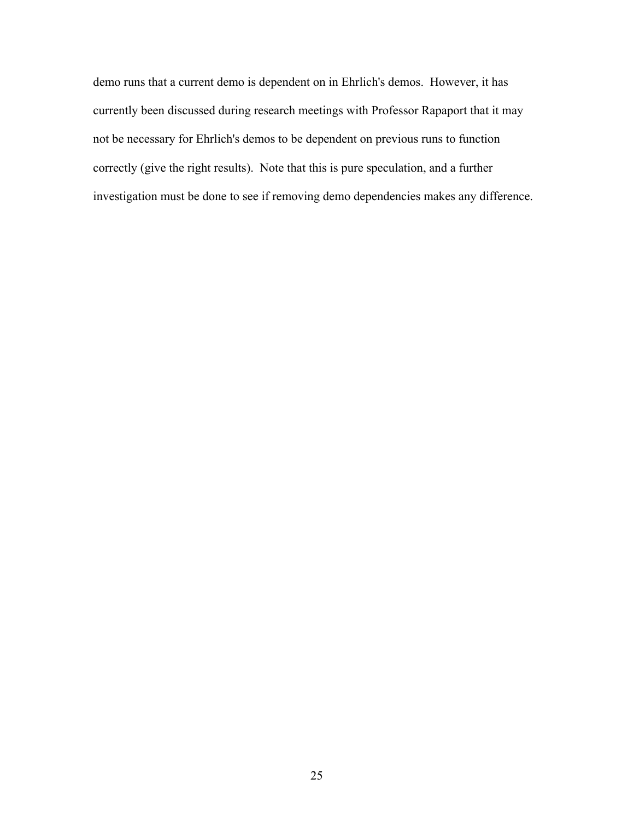demo runs that a current demo is dependent on in Ehrlich's demos. However, it has currently been discussed during research meetings with Professor Rapaport that it may not be necessary for Ehrlich's demos to be dependent on previous runs to function correctly (give the right results). Note that this is pure speculation, and a further investigation must be done to see if removing demo dependencies makes any difference.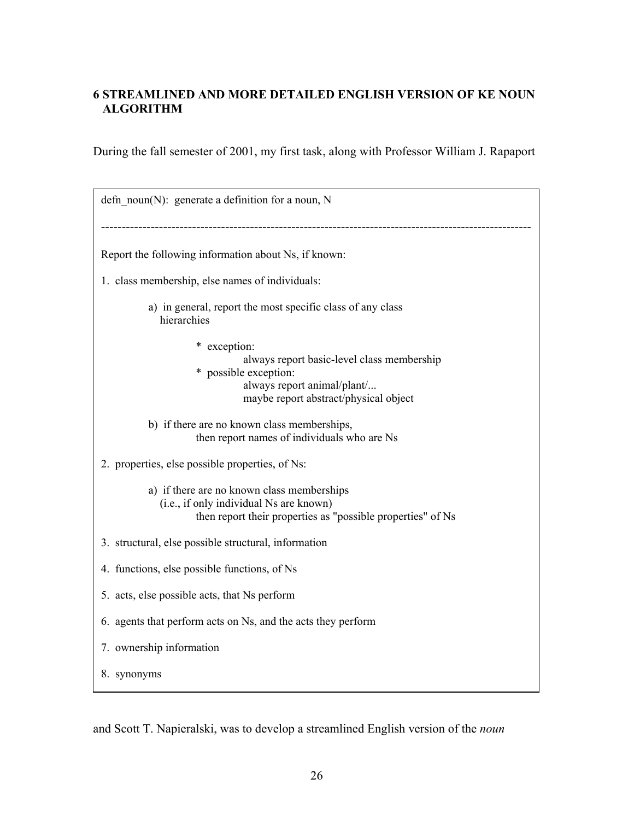### **6 STREAMLINED AND MORE DETAILED ENGLISH VERSION OF KE NOUN ALGORITHM**

During the fall semester of 2001, my first task, along with Professor William J. Rapaport

| defin noun(N): generate a definition for a noun, N                                                                                                          |
|-------------------------------------------------------------------------------------------------------------------------------------------------------------|
|                                                                                                                                                             |
| Report the following information about Ns, if known:                                                                                                        |
| 1. class membership, else names of individuals:                                                                                                             |
| a) in general, report the most specific class of any class<br>hierarchies                                                                                   |
| * exception:<br>always report basic-level class membership<br>* possible exception:<br>always report animal/plant/<br>maybe report abstract/physical object |
| b) if there are no known class memberships,<br>then report names of individuals who are Ns                                                                  |
| 2. properties, else possible properties, of Ns:                                                                                                             |
| a) if there are no known class memberships<br>(i.e., if only individual Ns are known)<br>then report their properties as "possible properties" of Ns        |
| 3. structural, else possible structural, information                                                                                                        |
| 4. functions, else possible functions, of Ns                                                                                                                |
| 5. acts, else possible acts, that Ns perform                                                                                                                |
| 6. agents that perform acts on Ns, and the acts they perform                                                                                                |
| 7. ownership information                                                                                                                                    |
| 8. synonyms                                                                                                                                                 |

and Scott T. Napieralski, was to develop a streamlined English version of the *noun*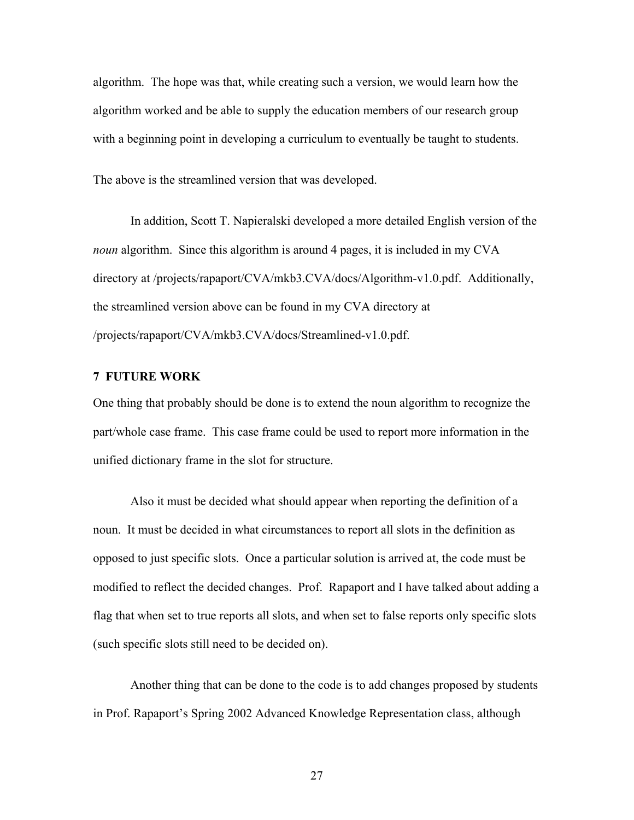algorithm. The hope was that, while creating such a version, we would learn how the algorithm worked and be able to supply the education members of our research group with a beginning point in developing a curriculum to eventually be taught to students.

The above is the streamlined version that was developed.

In addition, Scott T. Napieralski developed a more detailed English version of the *noun* algorithm. Since this algorithm is around 4 pages, it is included in my CVA directory at /projects/rapaport/CVA/mkb3.CVA/docs/Algorithm-v1.0.pdf. Additionally, the streamlined version above can be found in my CVA directory at /projects/rapaport/CVA/mkb3.CVA/docs/Streamlined-v1.0.pdf.

#### **7 FUTURE WORK**

One thing that probably should be done is to extend the noun algorithm to recognize the part/whole case frame. This case frame could be used to report more information in the unified dictionary frame in the slot for structure.

Also it must be decided what should appear when reporting the definition of a noun. It must be decided in what circumstances to report all slots in the definition as opposed to just specific slots. Once a particular solution is arrived at, the code must be modified to reflect the decided changes. Prof. Rapaport and I have talked about adding a flag that when set to true reports all slots, and when set to false reports only specific slots (such specific slots still need to be decided on).

Another thing that can be done to the code is to add changes proposed by students in Prof. Rapaport's Spring 2002 Advanced Knowledge Representation class, although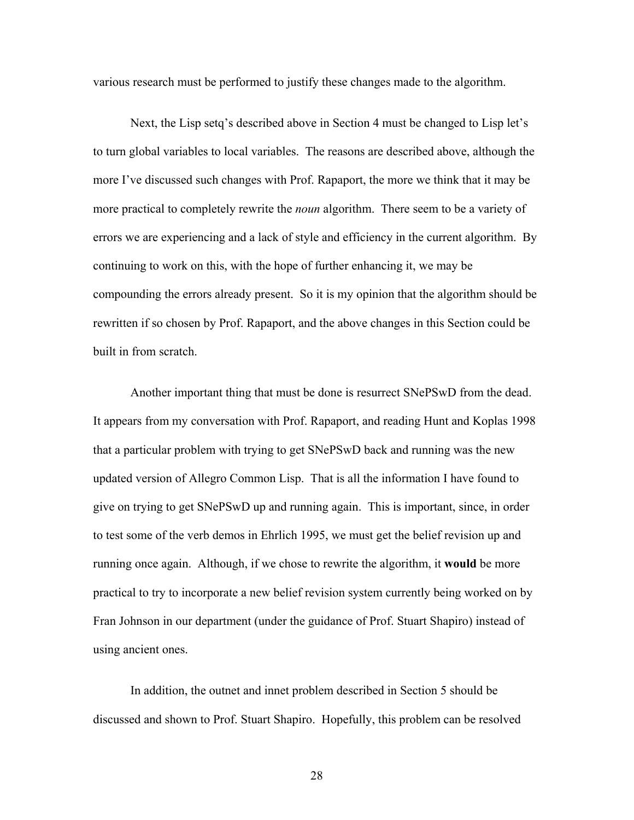various research must be performed to justify these changes made to the algorithm.

Next, the Lisp setq's described above in Section 4 must be changed to Lisp let's to turn global variables to local variables. The reasons are described above, although the more I've discussed such changes with Prof. Rapaport, the more we think that it may be more practical to completely rewrite the *noun* algorithm. There seem to be a variety of errors we are experiencing and a lack of style and efficiency in the current algorithm. By continuing to work on this, with the hope of further enhancing it, we may be compounding the errors already present. So it is my opinion that the algorithm should be rewritten if so chosen by Prof. Rapaport, and the above changes in this Section could be built in from scratch.

Another important thing that must be done is resurrect SNePSwD from the dead. It appears from my conversation with Prof. Rapaport, and reading Hunt and Koplas 1998 that a particular problem with trying to get SNePSwD back and running was the new updated version of Allegro Common Lisp. That is all the information I have found to give on trying to get SNePSwD up and running again. This is important, since, in order to test some of the verb demos in Ehrlich 1995, we must get the belief revision up and running once again. Although, if we chose to rewrite the algorithm, it **would** be more practical to try to incorporate a new belief revision system currently being worked on by Fran Johnson in our department (under the guidance of Prof. Stuart Shapiro) instead of using ancient ones.

In addition, the outnet and innet problem described in Section 5 should be discussed and shown to Prof. Stuart Shapiro. Hopefully, this problem can be resolved